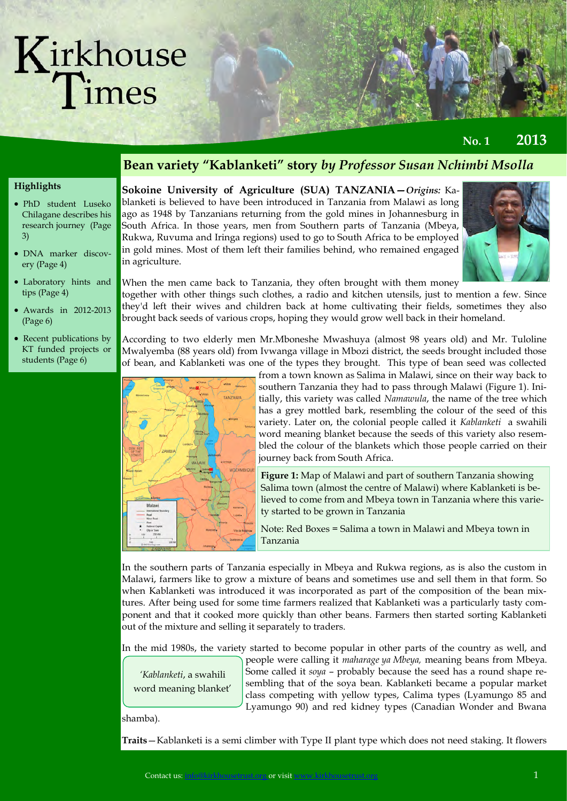(Page 6)

students (Page 6)

**No. 1 2013**

#### **Highlights**  PhD student Luseko Chilagane describes his research journey (Page 3) DNA marker discovery (Page 4) Laboratory hints and tips (Page 4) Awards in 2012-2013 **Bean variety "Kablanketi" story** *by Professor Susan Nchimbi Msolla*  **Sokoine University of Agriculture (SUA) TANZANIA—***Origins:* Kablanketi is believed to have been introduced in Tanzania from Malawi as long ago as 1948 by Tanzanians returning from the gold mines in Johannesburg in South Africa. In those years, men from Southern parts of Tanzania (Mbeya, Rukwa, Ruvuma and Iringa regions) used to go to South Africa to be employed in gold mines. Most of them left their families behind, who remained engaged in agriculture. When the men came back to Tanzania, they often brought with them money together with other things such clothes, a radio and kitchen utensils, just to mention a few. Since they'd left their wives and children back at home cultivating their fields, sometimes they also

• Recent publications by KT funded projects or According to two elderly men Mr.Mboneshe Mwashuya (almost 98 years old) and Mr. Tuloline Mwalyemba (88 years old) from Ivwanga village in Mbozi district, the seeds brought included those of bean, and Kablanketi was one of the types they brought. This type of bean seed was collected

brought back seeds of various crops, hoping they would grow well back in their homeland.



**Figure 1:** Map of Malawi and part of southern Tanzania showing Salima town (almost the centre of Malawi) where Kablanketi is believed to come from and Mbeya town in Tanzania where this variety started to be grown in Tanzania

Note: Red Boxes = Salima a town in Malawi and Mbeya town in Tanzania

In the southern parts of Tanzania especially in Mbeya and Rukwa regions, as is also the custom in Malawi, farmers like to grow a mixture of beans and sometimes use and sell them in that form. So when Kablanketi was introduced it was incorporated as part of the composition of the bean mixtures. After being used for some time farmers realized that Kablanketi was a particularly tasty component and that it cooked more quickly than other beans. Farmers then started sorting Kablanketi out of the mixture and selling it separately to traders.

In the mid 1980s, the variety started to become popular in other parts of the country as well, and

*'Kablanketi*, a swahili word meaning blanket' people were calling it *maharage ya Mbeya,* meaning beans from Mbeya. Some called it *soya* – probably because the seed has a round shape resembling that of the soya bean. Kablanketi became a popular market class competing with yellow types, Calima types (Lyamungo 85 and Lyamungo 90) and red kidney types (Canadian Wonder and Bwana

#### shamba).

**Traits**—Kablanketi is a semi climber with Type II plant type which does not need staking. It flowers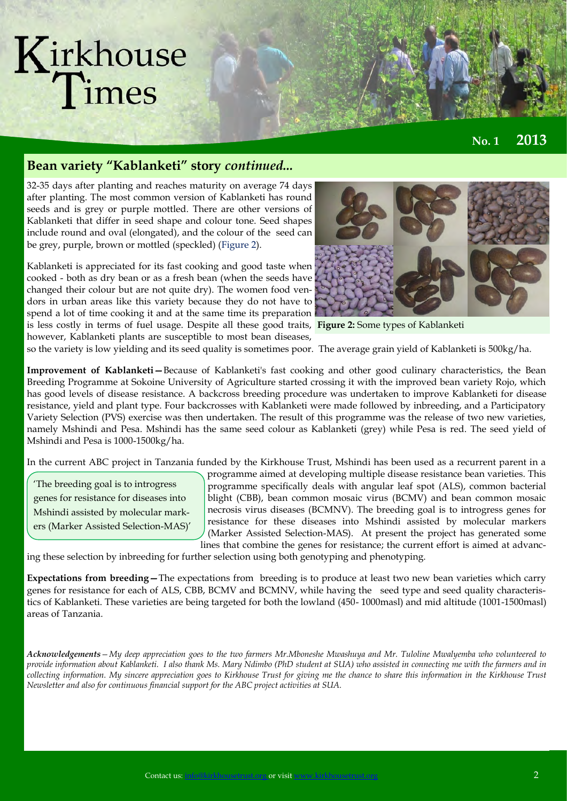**No. 1 2013**

#### **Bean variety "Kablanketi" story** *continued...*

32-35 days after planting and reaches maturity on average 74 days after planting. The most common version of Kablanketi has round seeds and is grey or purple mottled. There are other versions of Kablanketi that differ in seed shape and colour tone. Seed shapes include round and oval (elongated), and the colour of the seed can be grey, purple, brown or mottled (speckled) (Figure 2).

Kablanketi is appreciated for its fast cooking and good taste when cooked - both as dry bean or as a fresh bean (when the seeds have changed their colour but are not quite dry). The women food vendors in urban areas like this variety because they do not have to spend a lot of time cooking it and at the same time its preparation is less costly in terms of fuel usage. Despite all these good traits, **Figure 2:** Some types of Kablanketi however, Kablanketi plants are susceptible to most bean diseases,



so the variety is low yielding and its seed quality is sometimes poor. The average grain yield of Kablanketi is 500kg/ha.

**Improvement of Kablanketi—**Because of Kablanketi's fast cooking and other good culinary characteristics, the Bean Breeding Programme at Sokoine University of Agriculture started crossing it with the improved bean variety Rojo, which has good levels of disease resistance. A backcross breeding procedure was undertaken to improve Kablanketi for disease resistance, yield and plant type. Four backcrosses with Kablanketi were made followed by inbreeding, and a Participatory Variety Selection (PVS) exercise was then undertaken. The result of this programme was the release of two new varieties, namely Mshindi and Pesa. Mshindi has the same seed colour as Kablanketi (grey) while Pesa is red. The seed yield of Mshindi and Pesa is 1000-1500kg/ha.

In the current ABC project in Tanzania funded by the Kirkhouse Trust, Mshindi has been used as a recurrent parent in a

'The breeding goal is to introgress genes for resistance for diseases into Mshindi assisted by molecular markers (Marker Assisted Selection-MAS)'

programme aimed at developing multiple disease resistance bean varieties. This programme specifically deals with angular leaf spot (ALS), common bacterial blight (CBB), bean common mosaic virus (BCMV) and bean common mosaic necrosis virus diseases (BCMNV). The breeding goal is to introgress genes for resistance for these diseases into Mshindi assisted by molecular markers (Marker Assisted Selection-MAS). At present the project has generated some lines that combine the genes for resistance; the current effort is aimed at advanc-

ing these selection by inbreeding for further selection using both genotyping and phenotyping.

**Expectations from breeding—**The expectations from breeding is to produce at least two new bean varieties which carry genes for resistance for each of ALS, CBB, BCMV and BCMNV, while having the seed type and seed quality characteristics of Kablanketi. These varieties are being targeted for both the lowland (450- 1000masl) and mid altitude (1001-1500masl) areas of Tanzania.

*Acknowledgements—My deep appreciation goes to the two farmers Mr.Mboneshe Mwashuya and Mr. Tuloline Mwalyemba who volunteered to provide information about Kablanketi. I also thank Ms. Mary Ndimbo (PhD student at SUA) who assisted in connecting me with the farmers and in collecting information. My sincere appreciation goes to Kirkhouse Trust for giving me the chance to share this information in the Kirkhouse Trust Newsletter and also for continuous financial support for the ABC project activities at SUA.*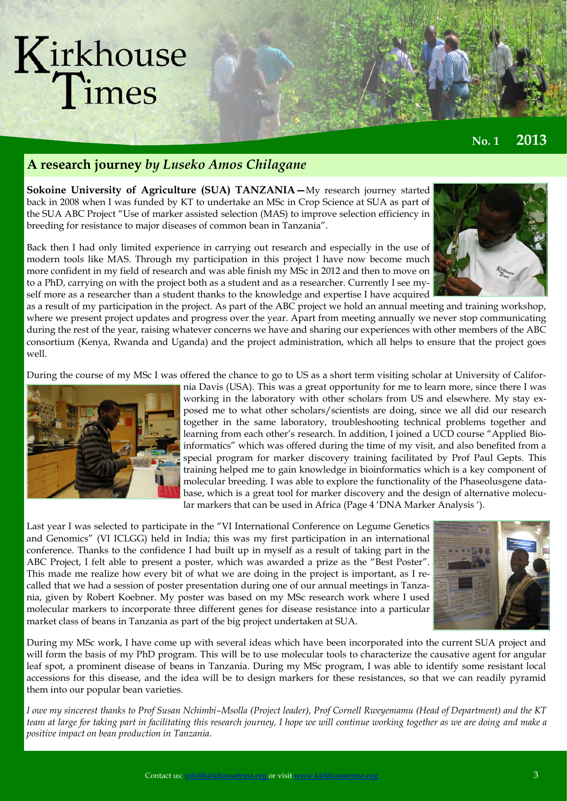**No. 1 2013**

### **A research journey** *by Luseko Amos Chilagane*

**Sokoine University of Agriculture (SUA) TANZANIA—**My research journey started back in 2008 when I was funded by KT to undertake an MSc in Crop Science at SUA as part of the SUA ABC Project "Use of marker assisted selection (MAS) to improve selection efficiency in breeding for resistance to major diseases of common bean in Tanzania".

Back then I had only limited experience in carrying out research and especially in the use of modern tools like MAS. Through my participation in this project I have now become much more confident in my field of research and was able finish my MSc in 2012 and then to move on to a PhD, carrying on with the project both as a student and as a researcher. Currently I see myself more as a researcher than a student thanks to the knowledge and expertise I have acquired

as a result of my participation in the project. As part of the ABC project we hold an annual meeting and training workshop, where we present project updates and progress over the year. Apart from meeting annually we never stop communicating during the rest of the year, raising whatever concerns we have and sharing our experiences with other members of the ABC consortium (Kenya, Rwanda and Uganda) and the project administration, which all helps to ensure that the project goes well.

During the course of my MSc I was offered the chance to go to US as a short term visiting scholar at University of Califor-



nia Davis (USA). This was a great opportunity for me to learn more, since there I was working in the laboratory with other scholars from US and elsewhere. My stay exposed me to what other scholars/scientists are doing, since we all did our research together in the same laboratory, troubleshooting technical problems together and learning from each other's research. In addition, I joined a UCD course "Applied Bioinformatics" which was offered during the time of my visit, and also benefited from a special program for marker discovery training facilitated by Prof Paul Gepts. This training helped me to gain knowledge in bioinformatics which is a key component of molecular breeding. I was able to explore the functionality of the Phaseolusgene database, which is a great tool for marker discovery and the design of alternative molecular markers that can be used in Africa (Page 4 'DNA Marker Analysis ').

Last year I was selected to participate in the "VI International Conference on Legume Genetics and Genomics" (VI ICLGG) held in India; this was my first participation in an international conference. Thanks to the confidence I had built up in myself as a result of taking part in the ABC Project, I felt able to present a poster, which was awarded a prize as the "Best Poster". This made me realize how every bit of what we are doing in the project is important, as I recalled that we had a session of poster presentation during one of our annual meetings in Tanzania, given by Robert Koebner. My poster was based on my MSc research work where I used molecular markers to incorporate three different genes for disease resistance into a particular market class of beans in Tanzania as part of the big project undertaken at SUA.



During my MSc work, I have come up with several ideas which have been incorporated into the current SUA project and will form the basis of my PhD program. This will be to use molecular tools to characterize the causative agent for angular leaf spot, a prominent disease of beans in Tanzania. During my MSc program, I was able to identify some resistant local accessions for this disease, and the idea will be to design markers for these resistances, so that we can readily pyramid them into our popular bean varieties.

*I* owe my sincerest thanks to Prof Susan Nchimbi–Msolla (Project leader), Prof Cornell Rweyemamu (Head of Department) and the KT *team at large for taking part in facilitating this research journey, I hope we will continue working together as we are doing and make a positive impact on bean production in Tanzania.*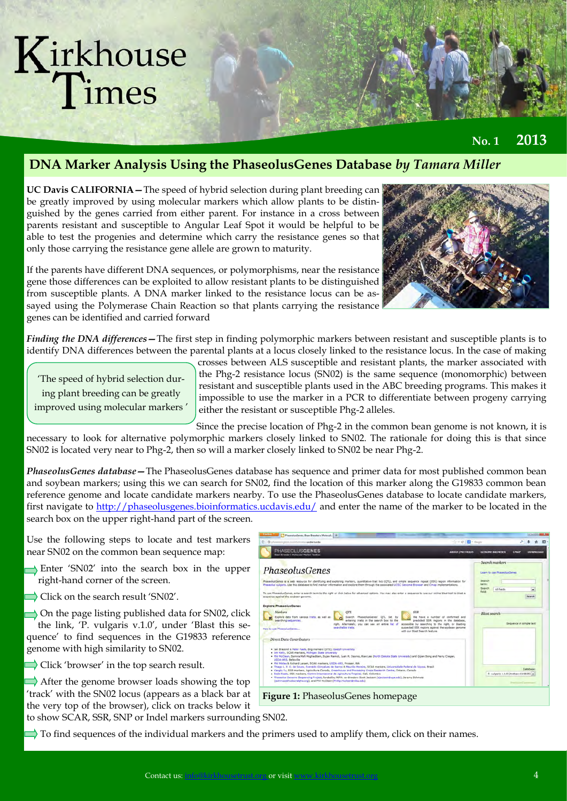**No. 1 2013**

### **DNA Marker Analysis Using the PhaseolusGenes Database** *by Tamara Miller*

**UC Davis CALIFORNIA—**The speed of hybrid selection during plant breeding can be greatly improved by using molecular markers which allow plants to be distinguished by the genes carried from either parent. For instance in a cross between parents resistant and susceptible to Angular Leaf Spot it would be helpful to be able to test the progenies and determine which carry the resistance genes so that only those carrying the resistance gene allele are grown to maturity.

If the parents have different DNA sequences, or polymorphisms, near the resistance gene those differences can be exploited to allow resistant plants to be distinguished from susceptible plants. A DNA marker linked to the resistance locus can be assayed using the Polymerase Chain Reaction so that plants carrying the resistance genes can be identified and carried forward



*Finding the DNA differences—*The first step in finding polymorphic markers between resistant and susceptible plants is to identify DNA differences between the parental plants at a locus closely linked to the resistance locus. In the case of making

'The speed of hybrid selection during plant breeding can be greatly improved using molecular markers ' crosses between ALS susceptible and resistant plants, the marker associated with the Phg-2 resistance locus (SN02) is the same sequence (monomorphic) between resistant and susceptible plants used in the ABC breeding programs. This makes it impossible to use the marker in a PCR to differentiate between progeny carrying either the resistant or susceptible Phg-2 alleles.

Since the precise location of Phg-2 in the common bean genome is not known, it is necessary to look for alternative polymorphic markers closely linked to SN02. The rationale for doing this is that since SN02 is located very near to Phg-2, then so will a marker closely linked to SN02 be near Phg-2.

*PhaseolusGenes database—*The PhaseolusGenes database has sequence and primer data for most published common bean and soybean markers; using this we can search for SN02, find the location of this marker along the G19833 common bean reference genome and locate candidate markers nearby. To use the PhaseolusGenes database to locate candidate markers, first navigate to [http://phaseolusgenes.bioinformatics.ucdavis.edu/ a](http://phaseolusgenes.bioinformatics.ucdavis.edu/)nd enter the name of the marker to be located in the search box on the upper right-hand part of the screen.

Use the following steps to locate and test markers near SN02 on the common bean sequence map:

- Enter 'SN02' into the search box in the upper right-hand corner of the screen.
- Click on the search result 'SN02'.

 $\rightarrow$  On the page listing published data for SN02, click the link, 'P. vulgaris v.1.0', under 'Blast this sequence' to find sequences in the G19833 reference genome with high similarity to SN02.

 $\Rightarrow$  Click 'browser' in the top search result.

 $\rightarrow$  After the genome browser loads showing the top 'track' with the SN02 locus (appears as a black bar at the very top of the browser), click on tracks below it to show SCAR, SSR, SNP or Indel markers surrounding SN02.

**HASEOLUSGENES** PhaseolusGenes **Figure 1:** PhaseolusGenes homepage

 $\Rightarrow$  To find sequences of the individual markers and the primers used to amplify them, click on their names.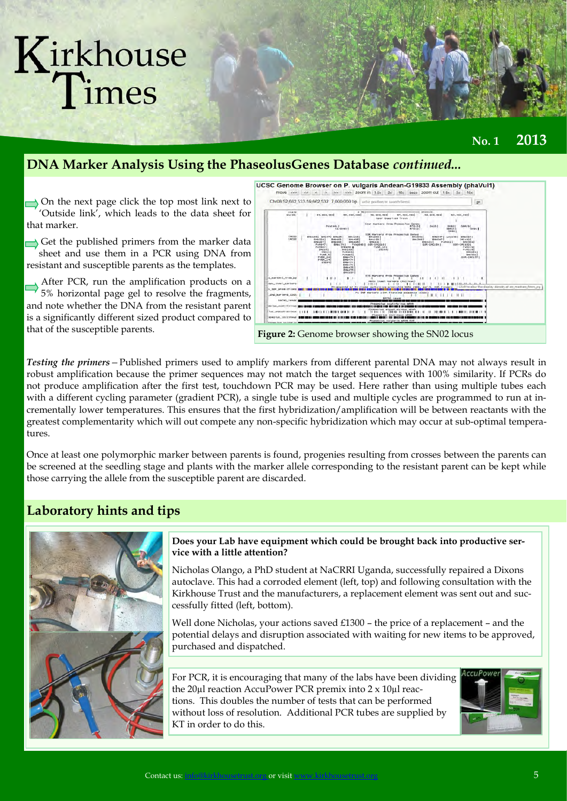### **DNA Marker Analysis Using the PhaseolusGenes Database** *continued...*

 $\rightarrow$  On the next page click the top most link next to 'Outside link', which leads to the data sheet for that marker.

Get the published primers from the marker data sheet and use them in a PCR using DNA from resistant and susceptible parents as the templates.

After PCR, run the amplification products on a 5% horizontal page gel to resolve the fragments, and note whether the DNA from the resistant parent is a significantly different sized product compared to that of the susceptible parents.



**Figure 2:** Genome browser showing the SN02 locus

*Testing the primers—*Published primers used to amplify markers from different parental DNA may not always result in robust amplification because the primer sequences may not match the target sequences with 100% similarity. If PCRs do not produce amplification after the first test, touchdown PCR may be used. Here rather than using multiple tubes each with a different cycling parameter (gradient PCR), a single tube is used and multiple cycles are programmed to run at incrementally lower temperatures. This ensures that the first hybridization/amplification will be between reactants with the greatest complementarity which will out compete any non-specific hybridization which may occur at sub-optimal temperatures.

Once at least one polymorphic marker between parents is found, progenies resulting from crosses between the parents can be screened at the seedling stage and plants with the marker allele corresponding to the resistant parent can be kept while those carrying the allele from the susceptible parent are discarded.

#### **Laboratory hints and tips**



#### **Does your Lab have equipment which could be brought back into productive service with a little attention?**

Nicholas Olango, a PhD student at NaCRRI Uganda, successfully repaired a Dixons autoclave. This had a corroded element (left, top) and following consultation with the Kirkhouse Trust and the manufacturers, a replacement element was sent out and successfully fitted (left, bottom).

Well done Nicholas, your actions saved  $£1300$  – the price of a replacement – and the potential delays and disruption associated with waiting for new items to be approved, purchased and dispatched.

For PCR, it is encouraging that many of the labs have been dividing the 20µl reaction AccuPower PCR premix into 2 x 10µl reactions. This doubles the number of tests that can be performed without loss of resolution. Additional PCR tubes are supplied by KT in order to do this.